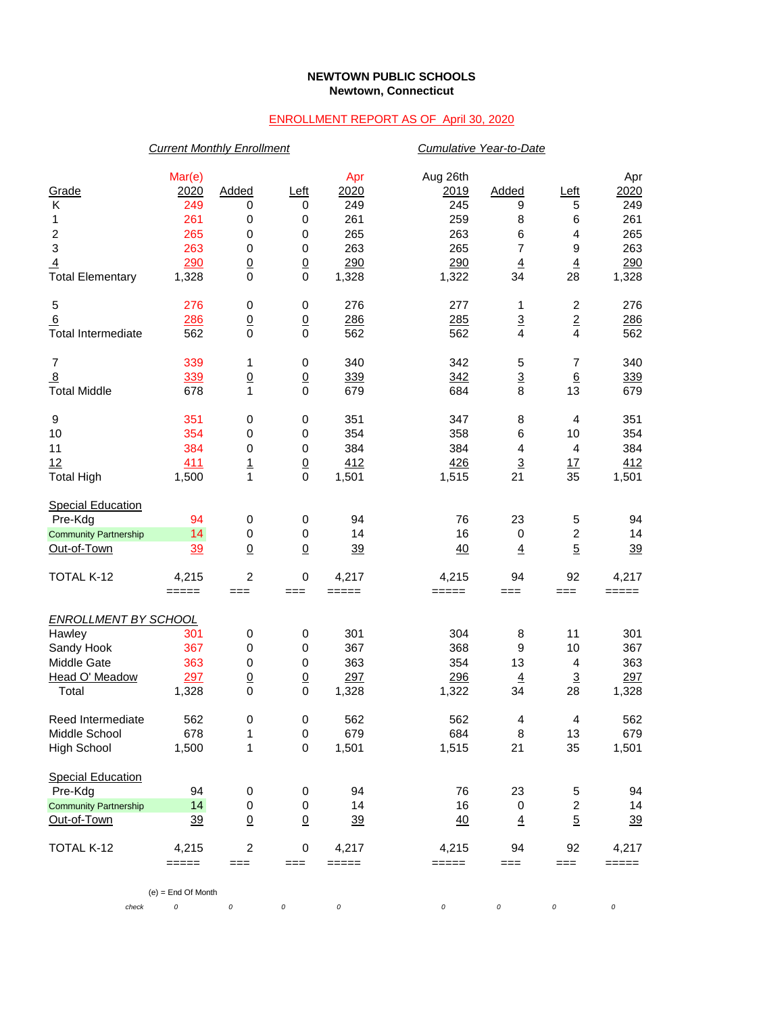## **NEWTOWN PUBLIC SCHOOLS Newtown, Connecticut**

## ENROLLMENT REPORT AS OF April 30, 2020

|                                                                                               | <b>Current Monthly Enrollment</b>                          |                                                                     |                                                                        |                                                         |                                                              | Cumulative Year-to-Date                                        |                                                     |                                                         |  |  |
|-----------------------------------------------------------------------------------------------|------------------------------------------------------------|---------------------------------------------------------------------|------------------------------------------------------------------------|---------------------------------------------------------|--------------------------------------------------------------|----------------------------------------------------------------|-----------------------------------------------------|---------------------------------------------------------|--|--|
| Grade<br>Κ<br>1<br>$\boldsymbol{2}$<br>3<br>$\overline{4}$<br><b>Total Elementary</b>         | Mar(e)<br>2020<br>249<br>261<br>265<br>263<br>290<br>1,328 | Added<br>0<br>0<br>0<br>$\pmb{0}$<br>$\underline{0}$<br>$\mathbf 0$ | Left<br>0<br>$\,0\,$<br>$\,0\,$<br>0<br>$\underline{0}$<br>$\mathbf 0$ | Apr<br>2020<br>249<br>261<br>265<br>263<br>290<br>1,328 | Aug 26th<br>2019<br>245<br>259<br>263<br>265<br>290<br>1,322 | Added<br>9<br>8<br>6<br>$\overline{7}$<br>$\overline{4}$<br>34 | $L$ eft<br>5<br>6<br>4<br>9<br>$\overline{4}$<br>28 | Apr<br>2020<br>249<br>261<br>265<br>263<br>290<br>1,328 |  |  |
| 5<br>6<br><b>Total Intermediate</b>                                                           | 276<br>286<br>562                                          | $\pmb{0}$<br>$\underline{0}$<br>$\mathbf 0$                         | $\,0\,$<br>$\underline{0}$<br>$\mathbf 0$                              | 276<br>286<br>562                                       | 277<br>285<br>562                                            | 1<br>$\overline{3}$<br>4                                       | $\overline{c}$<br>$\overline{2}$<br>$\overline{4}$  | 276<br>286<br>562                                       |  |  |
| $\boldsymbol{7}$<br>$\overline{8}$<br><b>Total Middle</b>                                     | 339<br>339<br>678                                          | 1<br>$\underline{0}$<br>$\mathbf{1}$                                | 0<br>$\underline{0}$<br>$\mathbf 0$                                    | 340<br>339<br>679                                       | 342<br>342<br>684                                            | 5<br>$\overline{3}$<br>8                                       | $\overline{7}$<br>$6\phantom{1}6$<br>13             | 340<br>339<br>679                                       |  |  |
| 9<br>10<br>11<br>12<br><b>Total High</b>                                                      | 351<br>354<br>384<br>411<br>1,500                          | 0<br>$\pmb{0}$<br>$\pmb{0}$<br>$\frac{1}{1}$                        | 0<br>$\,0\,$<br>0<br>$\frac{0}{0}$                                     | 351<br>354<br>384<br>412<br>1,501                       | 347<br>358<br>384<br>426<br>1,515                            | 8<br>6<br>$\overline{4}$<br>$\overline{3}$<br>21               | $\overline{4}$<br>10<br>$\overline{4}$<br>17<br>35  | 351<br>354<br>384<br>412<br>1,501                       |  |  |
| <b>Special Education</b><br>Pre-Kdg<br><b>Community Partnership</b><br>Out-of-Town            | 94<br>14<br>39                                             | 0<br>$\pmb{0}$<br>$\underline{0}$                                   | $\,0\,$<br>$\,0\,$<br>$\underline{0}$                                  | 94<br>14<br>39                                          | 76<br>16<br>40                                               | 23<br>$\mathbf 0$<br>$\overline{4}$                            | 5<br>$\overline{c}$<br>$\overline{5}$               | 94<br>14<br>39                                          |  |  |
| TOTAL K-12                                                                                    | 4,215<br>$=====$                                           | $\overline{2}$<br>===                                               | 0<br>$==$                                                              | 4,217<br>$=====$                                        | 4,215<br>=====                                               | 94<br>$==$                                                     | 92<br>$==$                                          | 4,217<br>$=====$                                        |  |  |
| <b>ENROLLMENT BY SCHOOL</b><br>Hawley<br>Sandy Hook<br>Middle Gate<br>Head O' Meadow<br>Total | 301<br>367<br>363<br>297<br>1,328                          | 0<br>$\pmb{0}$<br>$\pmb{0}$<br>$\underline{0}$<br>$\mathbf 0$       | $\,0\,$<br>0<br>$\,0\,$<br>$\underline{0}$<br>$\mathbf 0$              | 301<br>367<br>363<br>297<br>1,328                       | 304<br>368<br>354<br>296<br>1,322                            | 8<br>9<br>13<br>$\overline{4}$<br>34                           | 11<br>10<br>4<br>$\overline{3}$<br>28               | 301<br>367<br>363<br>297<br>1,328                       |  |  |
| Reed Intermediate<br>Middle School<br><b>High School</b>                                      | 562<br>678<br>1,500                                        | 0<br>1<br>1                                                         | 0<br>$\mathbf 0$<br>0                                                  | 562<br>679<br>1,501                                     | 562<br>684<br>1,515                                          | 4<br>8<br>21                                                   | 4<br>13<br>35                                       | 562<br>679<br>1,501                                     |  |  |
| <b>Special Education</b><br>Pre-Kdg<br><b>Community Partnership</b><br>Out-of-Town            | 94<br>14<br>39                                             | 0<br>$\pmb{0}$<br>$\underline{0}$                                   | 0<br>0<br>$\underline{0}$                                              | 94<br>14<br><u>39</u>                                   | 76<br>16<br>40                                               | 23<br>0<br>$\overline{4}$                                      | 5<br>$\overline{c}$<br>$\overline{5}$               | 94<br>14<br>39                                          |  |  |
| TOTAL K-12                                                                                    | 4,215<br>=====                                             | $\overline{c}$<br>===                                               | 0<br>$==$                                                              | 4,217<br>=====                                          | 4,215<br>=====                                               | 94<br>===                                                      | 92<br>$==$                                          | 4,217<br>$\qquad \qquad \displaystyle ==\equiv \qquad$  |  |  |
| check                                                                                         | $(e)$ = End Of Month<br>0                                  | $\cal O$                                                            | 0                                                                      | $\cal O$                                                | $\cal O$                                                     | 0                                                              | 0                                                   | $\cal O$                                                |  |  |